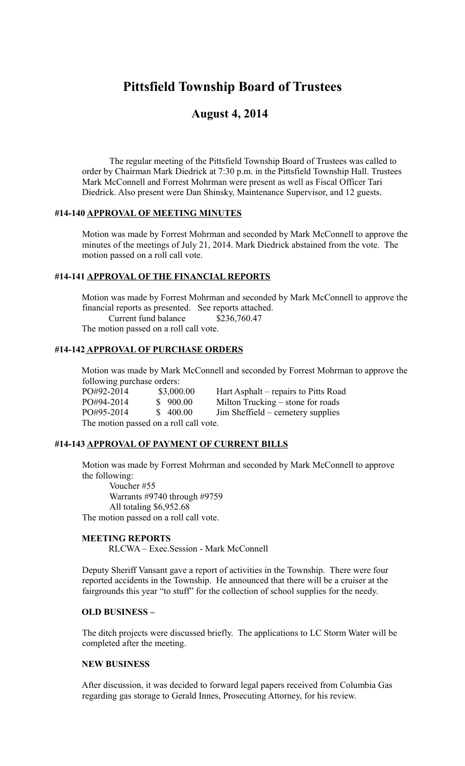# **Pittsfield Township Board of Trustees**

# **August 4, 2014**

The regular meeting of the Pittsfield Township Board of Trustees was called to order by Chairman Mark Diedrick at 7:30 p.m. in the Pittsfield Township Hall. Trustees Mark McConnell and Forrest Mohrman were present as well as Fiscal Officer Tari Diedrick. Also present were Dan Shinsky, Maintenance Supervisor, and 12 guests.

#### **#14-140 APPROVAL OF MEETING MINUTES**

Motion was made by Forrest Mohrman and seconded by Mark McConnell to approve the minutes of the meetings of July 21, 2014. Mark Diedrick abstained from the vote. The motion passed on a roll call vote.

# **#14-141 APPROVAL OF THE FINANCIAL REPORTS**

Motion was made by Forrest Mohrman and seconded by Mark McConnell to approve the financial reports as presented. See reports attached. Current fund balance \$236,760.47

The motion passed on a roll call vote.

#### **#14-142 APPROVAL OF PURCHASE ORDERS**

Motion was made by Mark McConnell and seconded by Forrest Mohrman to approve the following purchase orders:

PO#92-2014 \$3,000.00 Hart Asphalt – repairs to Pitts Road PO#94-2014 \$ 900.00 Milton Trucking – stone for roads<br>PO#95-2014 \$ 400.00 Jim Sheffield – cemetery supplies  $Jim Sheffield - cemetery supplies$ The motion passed on a roll call vote.

#### **#14-143 APPROVAL OF PAYMENT OF CURRENT BILLS**

Motion was made by Forrest Mohrman and seconded by Mark McConnell to approve the following:

Voucher #55 Warrants #9740 through #9759 All totaling \$6,952.68 The motion passed on a roll call vote.

#### **MEETING REPORTS**

RLCWA – Exec.Session - Mark McConnell

Deputy Sheriff Vansant gave a report of activities in the Township. There were four reported accidents in the Township. He announced that there will be a cruiser at the fairgrounds this year "to stuff" for the collection of school supplies for the needy.

#### **OLD BUSINESS –**

The ditch projects were discussed briefly. The applications to LC Storm Water will be completed after the meeting.

#### **NEW BUSINESS**

After discussion, it was decided to forward legal papers received from Columbia Gas regarding gas storage to Gerald Innes, Prosecuting Attorney, for his review.